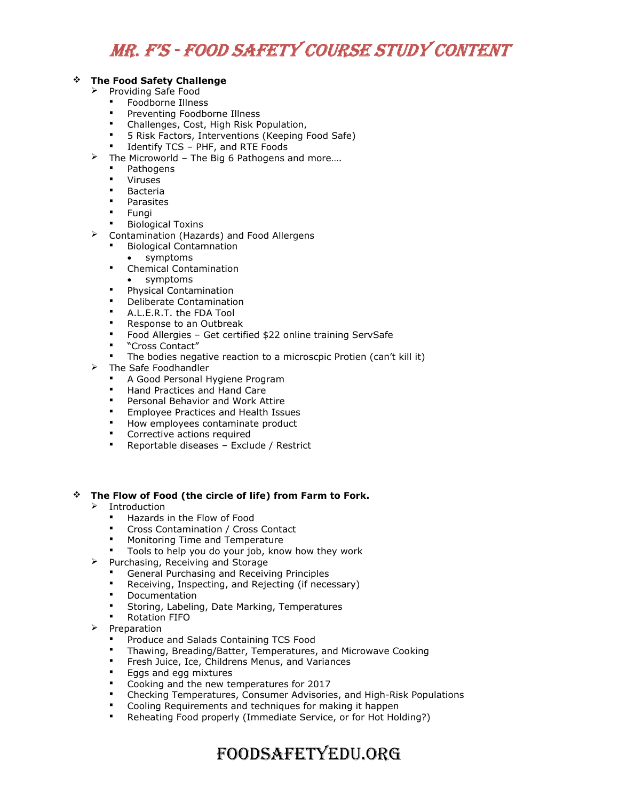# Mr. F's - Food saFety Course study Content

### The Food Safety Challenge

- $\triangleright$  Providing Safe Food
	- Foodborne Illness
	- Preventing Foodborne Illness
	- Challenges, Cost, High Risk Population,
	- 5 Risk Factors, Interventions (Keeping Food Safe)
	- Identify TCS PHF, and RTE Foods
- $\triangleright$  The Microworld The Big 6 Pathogens and more....
	- **Pathogens**
	- Viruses
	- Bacteria
	- Parasites
	- Fungi
	- Biological Toxins
- Contamination (Hazards) and Food Allergens
	- Biological Contamnation
		- symptoms
	- **•** Chemical Contamination
		- symptoms
	- **•** Physical Contamination
	- **•** Deliberate Contamination
	- A.L.E.R.T. the FDA Tool
	- **Response to an Outbreak**
	- Food Allergies Get certified \$22 online training ServSafe
	- "Cross Contact"
	- The bodies negative reaction to a microscpic Protien (can't kill it)
- $\triangleright$  The Safe Foodhandler
	- A Good Personal Hygiene Program
	- Hand Practices and Hand Care
	- Personal Behavior and Work Attire
	- **Employee Practices and Health Issues**
	- **How employees contaminate product**
	- Corrective actions required
	- **-** Reportable diseases Exclude / Restrict

#### The Flow of Food (the circle of life) from Farm to Fork.

- $\triangleright$  Introduction
	- Hazards in the Flow of Food
	- Cross Contamination / Cross Contact
	- Monitoring Time and Temperature
	- Tools to help you do your job, know how they work
- $\triangleright$  Purchasing, Receiving and Storage
	- General Purchasing and Receiving Principles
	- Receiving, Inspecting, and Rejecting (if necessary)
	- Documentation
	- Storing, Labeling, Date Marking, Temperatures
	- Rotation FIFO
- $\triangleright$  Preparation
	- Produce and Salads Containing TCS Food
	- Thawing, Breading/Batter, Temperatures, and Microwave Cooking
	- Fresh Juice, Ice, Childrens Menus, and Variances
	- Eggs and egg mixtures
	- Cooking and the new temperatures for 2017
	- Checking Temperatures, Consumer Advisories, and High-Risk Populations
	- Cooling Requirements and techniques for making it happen
	- Reheating Food properly (Immediate Service, or for Hot Holding?)

## FoodsaFetyedu.org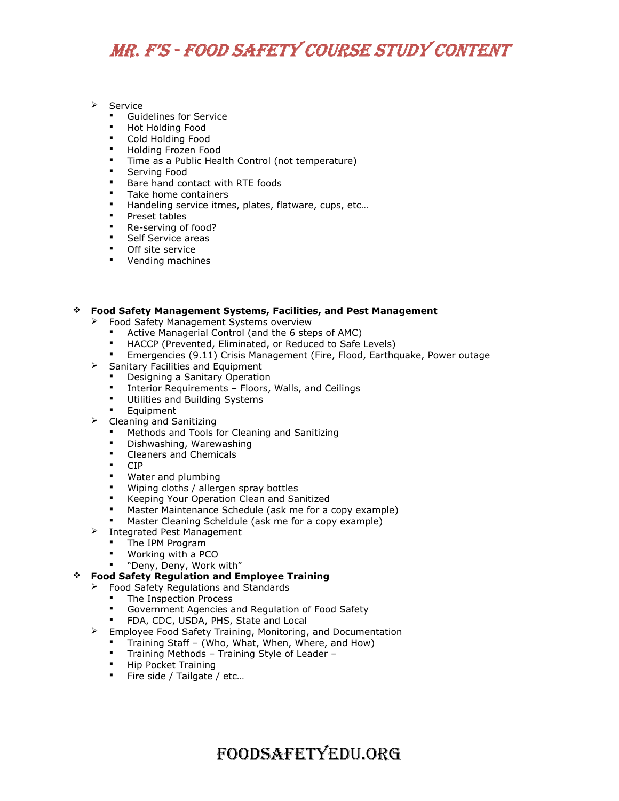# Mr. F's - Food saFety Course study Content

### $\triangleright$  Service

- Guidelines for Service
- Hot Holding Food
- Cold Holding Food
- Holding Frozen Food
- **Time as a Public Health Control (not temperature)**
- Serving Food
- Bare hand contact with RTE foods
- **Take home containers**
- Handeling service itmes, plates, flatware, cups, etc...
- **Preset tables**
- **Re-serving of food?**
- **Self Service areas**
- **Off site service**
- **Vending machines**

### Food Safety Management Systems, Facilities, and Pest Management

- Food Safety Management Systems overview
	- Active Managerial Control (and the 6 steps of AMC)
	- HACCP (Prevented, Eliminated, or Reduced to Safe Levels)
	- Emergencies (9.11) Crisis Management (Fire, Flood, Earthquake, Power outage
- $\triangleright$  Sanitary Facilities and Equipment
	- Designing a Sanitary Operation
	- Interior Requirements Floors, Walls, and Ceilings
	- Utilities and Building Systems
	- Equipment
- $\triangleright$  Cleaning and Sanitizing
	- Methods and Tools for Cleaning and Sanitizing
	- Dishwashing, Warewashing
	- **•** Cleaners and Chemicals
	- CIP
	- **Water and plumbing**
	- Wiping cloths / allergen spray bottles
	- **Keeping Your Operation Clean and Sanitized**
	- Master Maintenance Schedule (ask me for a copy example)
	- Master Cleaning Scheldule (ask me for a copy example)
- $\triangleright$  Integrated Pest Management
	- The IPM Program
	- Working with a PCO
	- "Deny, Deny, Work with"

#### Food Safety Regulation and Employee Training

- $\triangleright$  Food Safety Regulations and Standards
	- The Inspection Process
	- Government Agencies and Regulation of Food Safety
	- FDA, CDC, USDA, PHS, State and Local
- $\triangleright$  Employee Food Safety Training, Monitoring, and Documentation
	- Training Staff (Who, What, When, Where, and How)
	- Training Methods Training Style of Leader –
	- **Hip Pocket Training**
	- Fire side / Tailgate / etc...

## FoodsaFetyedu.org